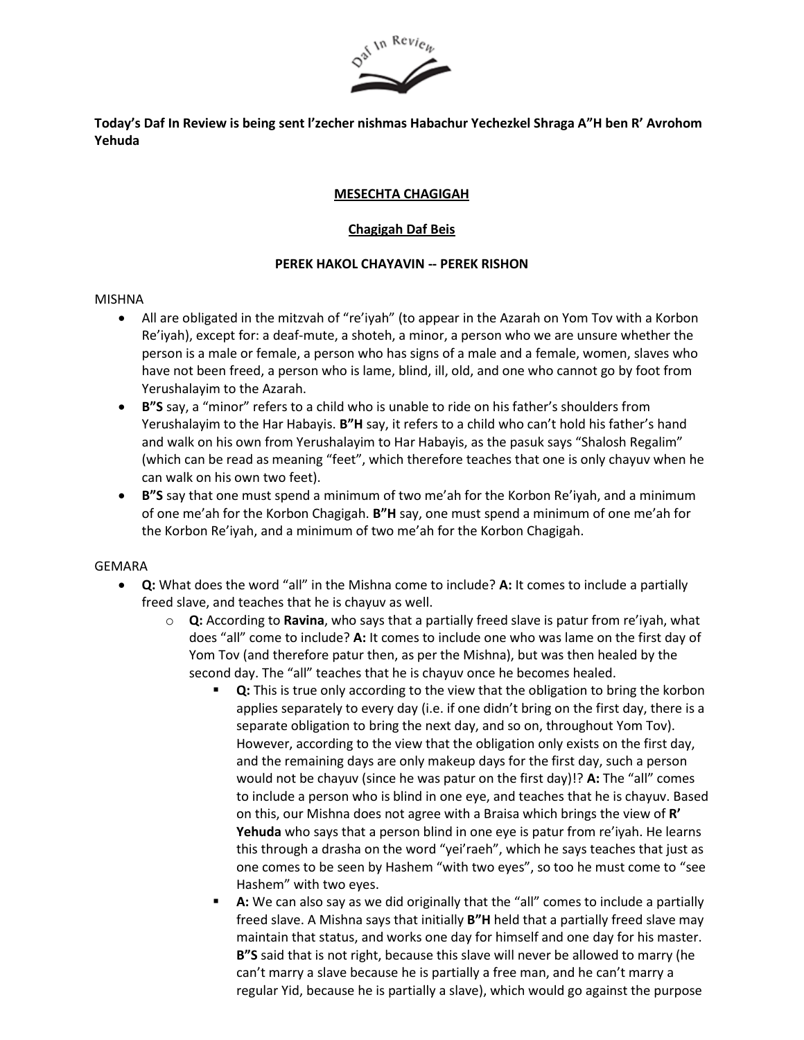

**Today's Daf In Review is being sent l'zecher nishmas Habachur Yechezkel Shraga A"H ben R' Avrohom Yehuda**

## **MESECHTA CHAGIGAH**

# **Chagigah Daf Beis**

## **PEREK HAKOL CHAYAVIN -- PEREK RISHON**

#### MISHNA

- All are obligated in the mitzvah of "re'iyah" (to appear in the Azarah on Yom Tov with a Korbon Re'iyah), except for: a deaf-mute, a shoteh, a minor, a person who we are unsure whether the person is a male or female, a person who has signs of a male and a female, women, slaves who have not been freed, a person who is lame, blind, ill, old, and one who cannot go by foot from Yerushalayim to the Azarah.
- **B"S** say, a "minor" refers to a child who is unable to ride on his father's shoulders from Yerushalayim to the Har Habayis. **B"H** say, it refers to a child who can't hold his father's hand and walk on his own from Yerushalayim to Har Habayis, as the pasuk says "Shalosh Regalim" (which can be read as meaning "feet", which therefore teaches that one is only chayuv when he can walk on his own two feet).
- **B"S** say that one must spend a minimum of two me'ah for the Korbon Re'iyah, and a minimum of one me'ah for the Korbon Chagigah. **B"H** say, one must spend a minimum of one me'ah for the Korbon Re'iyah, and a minimum of two me'ah for the Korbon Chagigah.

## GEMARA

- **Q:** What does the word "all" in the Mishna come to include? **A:** It comes to include a partially freed slave, and teaches that he is chayuv as well.
	- o **Q:** According to **Ravina**, who says that a partially freed slave is patur from re'iyah, what does "all" come to include? **A:** It comes to include one who was lame on the first day of Yom Tov (and therefore patur then, as per the Mishna), but was then healed by the second day. The "all" teaches that he is chayuv once he becomes healed.
		- **Q:** This is true only according to the view that the obligation to bring the korbon applies separately to every day (i.e. if one didn't bring on the first day, there is a separate obligation to bring the next day, and so on, throughout Yom Tov). However, according to the view that the obligation only exists on the first day, and the remaining days are only makeup days for the first day, such a person would not be chayuv (since he was patur on the first day)!? **A:** The "all" comes to include a person who is blind in one eye, and teaches that he is chayuv. Based on this, our Mishna does not agree with a Braisa which brings the view of **R' Yehuda** who says that a person blind in one eye is patur from re'iyah. He learns this through a drasha on the word "yei'raeh", which he says teaches that just as one comes to be seen by Hashem "with two eyes", so too he must come to "see Hashem" with two eyes.
		- A: We can also say as we did originally that the "all" comes to include a partially freed slave. A Mishna says that initially **B"H** held that a partially freed slave may maintain that status, and works one day for himself and one day for his master. **B"S** said that is not right, because this slave will never be allowed to marry (he can't marry a slave because he is partially a free man, and he can't marry a regular Yid, because he is partially a slave), which would go against the purpose